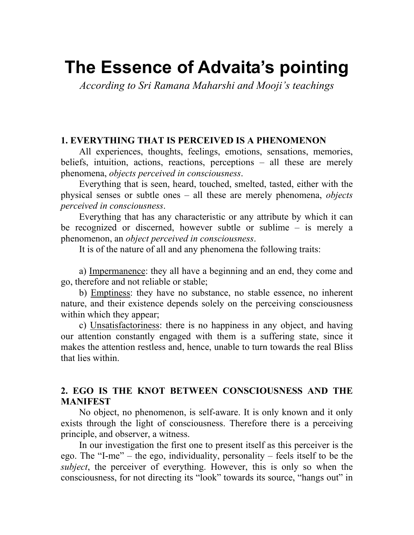# The Essence of Advaita's pointing

According to Sri Ramana Maharshi and Mooji's teachings

## 1. EVERYTHING THAT IS PERCEIVED IS A PHENOMENON

All experiences, thoughts, feelings, emotions, sensations, memories, beliefs, intuition, actions, reactions, perceptions – all these are merely phenomena, objects perceived in consciousness.

Everything that is seen, heard, touched, smelted, tasted, either with the physical senses or subtle ones – all these are merely phenomena, objects perceived in consciousness.

Everything that has any characteristic or any attribute by which it can be recognized or discerned, however subtle or sublime – is merely a phenomenon, an object perceived in consciousness.

It is of the nature of all and any phenomena the following traits:

a) Impermanence: they all have a beginning and an end, they come and go, therefore and not reliable or stable;

b) Emptiness: they have no substance, no stable essence, no inherent nature, and their existence depends solely on the perceiving consciousness within which they appear;

c) Unsatisfactoriness: there is no happiness in any object, and having our attention constantly engaged with them is a suffering state, since it makes the attention restless and, hence, unable to turn towards the real Bliss that lies within.

# 2. EGO IS THE KNOT BETWEEN CONSCIOUSNESS AND THE MANIFEST

No object, no phenomenon, is self-aware. It is only known and it only exists through the light of consciousness. Therefore there is a perceiving principle, and observer, a witness.

In our investigation the first one to present itself as this perceiver is the ego. The "I-me" – the ego, individuality, personality – feels itself to be the subject, the perceiver of everything. However, this is only so when the consciousness, for not directing its "look" towards its source, "hangs out" in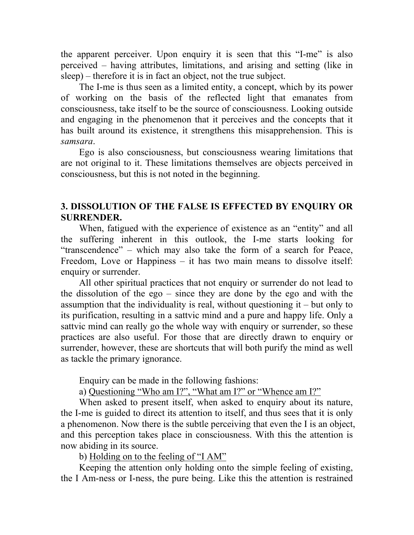the apparent perceiver. Upon enquiry it is seen that this "I-me" is also perceived – having attributes, limitations, and arising and setting (like in sleep) – therefore it is in fact an object, not the true subject.

The I-me is thus seen as a limited entity, a concept, which by its power of working on the basis of the reflected light that emanates from consciousness, take itself to be the source of consciousness. Looking outside and engaging in the phenomenon that it perceives and the concepts that it has built around its existence, it strengthens this misapprehension. This is samsara.

Ego is also consciousness, but consciousness wearing limitations that are not original to it. These limitations themselves are objects perceived in consciousness, but this is not noted in the beginning.

#### 3. DISSOLUTION OF THE FALSE IS EFFECTED BY ENQUIRY OR SURRENDER.

When, fatigued with the experience of existence as an "entity" and all the suffering inherent in this outlook, the I-me starts looking for "transcendence" – which may also take the form of a search for Peace, Freedom, Love or Happiness – it has two main means to dissolve itself: enquiry or surrender.

All other spiritual practices that not enquiry or surrender do not lead to the dissolution of the ego – since they are done by the ego and with the assumption that the individuality is real, without questioning it – but only to its purification, resulting in a sattvic mind and a pure and happy life. Only a sattvic mind can really go the whole way with enquiry or surrender, so these practices are also useful. For those that are directly drawn to enquiry or surrender, however, these are shortcuts that will both purify the mind as well as tackle the primary ignorance.

Enquiry can be made in the following fashions:

a) Questioning "Who am I?", "What am I?" or "Whence am I?"

When asked to present itself, when asked to enquiry about its nature, the I-me is guided to direct its attention to itself, and thus sees that it is only a phenomenon. Now there is the subtle perceiving that even the I is an object, and this perception takes place in consciousness. With this the attention is now abiding in its source.

b) Holding on to the feeling of "I AM"

Keeping the attention only holding onto the simple feeling of existing, the I Am-ness or I-ness, the pure being. Like this the attention is restrained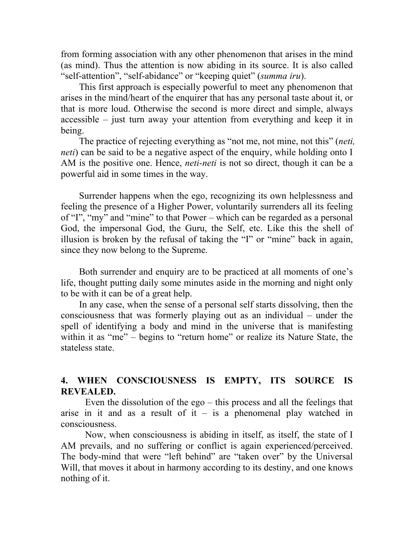from forming association with any other phenomenon that arises in the mind (as mind). Thus the attention is now abiding in its source. It is also called "self-attention", "self-abidance" or "keeping quiet" (summa iru).

This first approach is especially powerful to meet any phenomenon that arises in the mind/heart of the enquirer that has any personal taste about it, or that is more loud. Otherwise the second is more direct and simple, always accessible – just turn away your attention from everything and keep it in being.

The practice of rejecting everything as "not me, not mine, not this" (*neti*, neti) can be said to be a negative aspect of the enquiry, while holding onto I AM is the positive one. Hence, *neti-neti* is not so direct, though it can be a powerful aid in some times in the way.

Surrender happens when the ego, recognizing its own helplessness and feeling the presence of a Higher Power, voluntarily surrenders all its feeling of "I", "my" and "mine" to that Power – which can be regarded as a personal God, the impersonal God, the Guru, the Self, etc. Like this the shell of illusion is broken by the refusal of taking the "I" or "mine" back in again, since they now belong to the Supreme.

Both surrender and enquiry are to be practiced at all moments of one's life, thought putting daily some minutes aside in the morning and night only to be with it can be of a great help.

In any case, when the sense of a personal self starts dissolving, then the consciousness that was formerly playing out as an individual – under the spell of identifying a body and mind in the universe that is manifesting within it as "me" – begins to "return home" or realize its Nature State, the stateless state.

# 4. WHEN CONSCIOUSNESS IS EMPTY, ITS SOURCE IS REVEALED.

Even the dissolution of the ego – this process and all the feelings that arise in it and as a result of it – is a phenomenal play watched in consciousness.

Now, when consciousness is abiding in itself, as itself, the state of I AM prevails, and no suffering or conflict is again experienced/perceived. The body-mind that were "left behind" are "taken over" by the Universal Will, that moves it about in harmony according to its destiny, and one knows nothing of it.